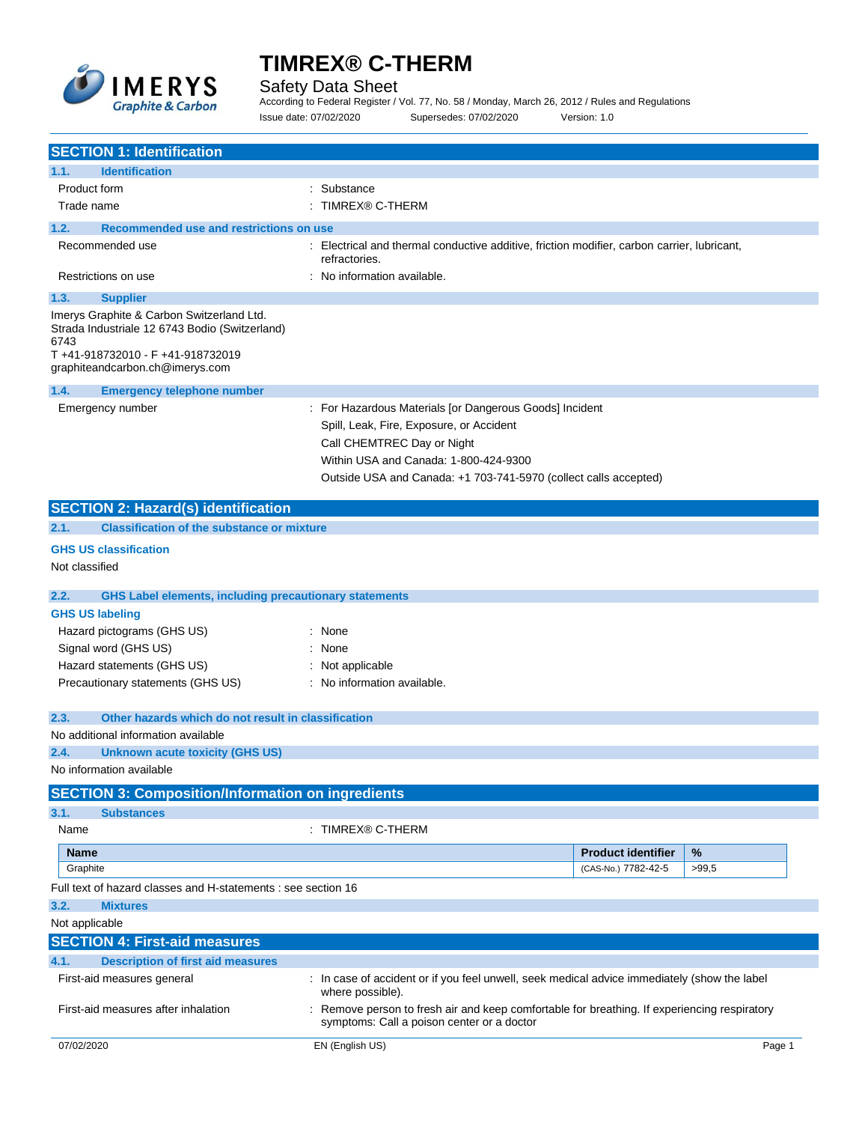

Safety Data Sheet

According to Federal Register / Vol. 77, No. 58 / Monday, March 26, 2012 / Rules and Regulations Issue date: 07/02/2020 Supersedes: 07/02/2020 Version: 1.0

| <b>SECTION 1: Identification</b>                                                                                                                                                                     |                                                                                                                                                                                                                                              |  |
|------------------------------------------------------------------------------------------------------------------------------------------------------------------------------------------------------|----------------------------------------------------------------------------------------------------------------------------------------------------------------------------------------------------------------------------------------------|--|
| <b>Identification</b><br>1.1.                                                                                                                                                                        |                                                                                                                                                                                                                                              |  |
| Product form                                                                                                                                                                                         | : Substance                                                                                                                                                                                                                                  |  |
| TIMREX® C-THERM<br>Trade name                                                                                                                                                                        |                                                                                                                                                                                                                                              |  |
| Recommended use and restrictions on use<br>1.2.                                                                                                                                                      |                                                                                                                                                                                                                                              |  |
| Recommended use                                                                                                                                                                                      | Electrical and thermal conductive additive, friction modifier, carbon carrier, lubricant,<br>refractories.                                                                                                                                   |  |
| Restrictions on use                                                                                                                                                                                  | : No information available.                                                                                                                                                                                                                  |  |
| 1.3.<br><b>Supplier</b><br>Imerys Graphite & Carbon Switzerland Ltd.<br>Strada Industriale 12 6743 Bodio (Switzerland)<br>6743<br>T+41-918732010 - F+41-918732019<br>graphiteandcarbon.ch@imerys.com |                                                                                                                                                                                                                                              |  |
| 1.4.<br><b>Emergency telephone number</b>                                                                                                                                                            |                                                                                                                                                                                                                                              |  |
| Emergency number                                                                                                                                                                                     | For Hazardous Materials [or Dangerous Goods] Incident<br>Spill, Leak, Fire, Exposure, or Accident<br>Call CHEMTREC Day or Night<br>Within USA and Canada: 1-800-424-9300<br>Outside USA and Canada: +1 703-741-5970 (collect calls accepted) |  |
| <b>SECTION 2: Hazard(s) identification</b>                                                                                                                                                           |                                                                                                                                                                                                                                              |  |
| <b>Classification of the substance or mixture</b><br>2.1.                                                                                                                                            |                                                                                                                                                                                                                                              |  |
| <b>GHS US classification</b><br>Not classified                                                                                                                                                       |                                                                                                                                                                                                                                              |  |
| <b>GHS Label elements, including precautionary statements</b><br>2.2.                                                                                                                                |                                                                                                                                                                                                                                              |  |
| <b>GHS US labeling</b>                                                                                                                                                                               |                                                                                                                                                                                                                                              |  |
| Hazard pictograms (GHS US)                                                                                                                                                                           | : None                                                                                                                                                                                                                                       |  |
| Signal word (GHS US)                                                                                                                                                                                 | : None                                                                                                                                                                                                                                       |  |
| Hazard statements (GHS US)                                                                                                                                                                           | : Not applicable                                                                                                                                                                                                                             |  |
| Precautionary statements (GHS US)                                                                                                                                                                    | : No information available.                                                                                                                                                                                                                  |  |
| 2.3.<br>Other hazards which do not result in classification                                                                                                                                          |                                                                                                                                                                                                                                              |  |
| No additional information available                                                                                                                                                                  |                                                                                                                                                                                                                                              |  |
| <b>Unknown acute toxicity (GHS US)</b><br>2.4.                                                                                                                                                       |                                                                                                                                                                                                                                              |  |
| No information available                                                                                                                                                                             |                                                                                                                                                                                                                                              |  |
| <b>SECTION 3: Composition/Information on ingredients</b>                                                                                                                                             |                                                                                                                                                                                                                                              |  |
| 3.1.<br><b>Substances</b>                                                                                                                                                                            |                                                                                                                                                                                                                                              |  |
| Name                                                                                                                                                                                                 | : TIMREX® C-THERM                                                                                                                                                                                                                            |  |
| Name                                                                                                                                                                                                 | %<br><b>Product identifier</b>                                                                                                                                                                                                               |  |
| Graphite                                                                                                                                                                                             | (CAS-No.) 7782-42-5<br>>99,5                                                                                                                                                                                                                 |  |
| Full text of hazard classes and H-statements : see section 16                                                                                                                                        |                                                                                                                                                                                                                                              |  |
| 3.2.<br><b>Mixtures</b>                                                                                                                                                                              |                                                                                                                                                                                                                                              |  |
| Not applicable                                                                                                                                                                                       |                                                                                                                                                                                                                                              |  |
| <b>SECTION 4: First-aid measures</b>                                                                                                                                                                 |                                                                                                                                                                                                                                              |  |
| <b>Description of first aid measures</b><br>4.1.                                                                                                                                                     |                                                                                                                                                                                                                                              |  |
| First-aid measures general                                                                                                                                                                           | : In case of accident or if you feel unwell, seek medical advice immediately (show the label<br>where possible).                                                                                                                             |  |
| First-aid measures after inhalation                                                                                                                                                                  | : Remove person to fresh air and keep comfortable for breathing. If experiencing respiratory<br>symptoms: Call a poison center or a doctor                                                                                                   |  |
| 07/02/2020                                                                                                                                                                                           | EN (English US)<br>Page 1                                                                                                                                                                                                                    |  |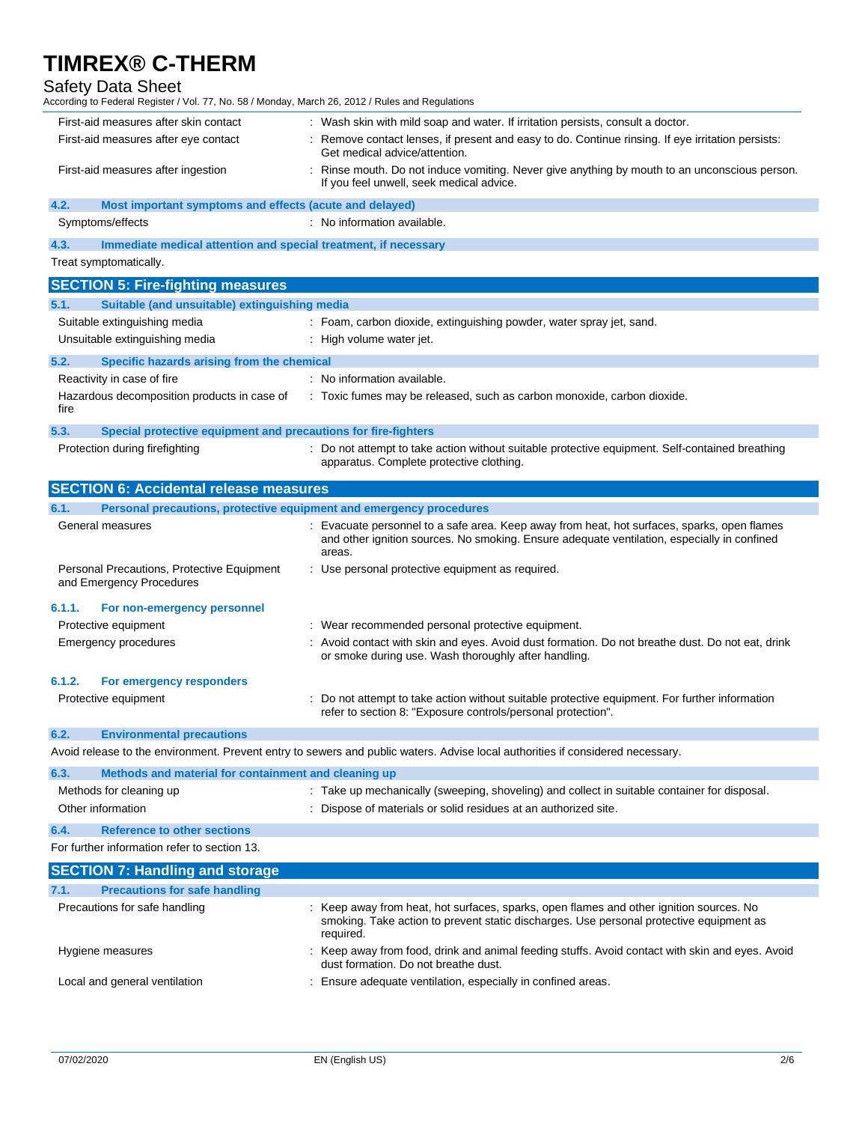### Safety Data Sheet

According to Federal Register / Vol. 77, No. 58 / Monday, March 26, 2012 / Rules and Regulations

| First-aid measures after skin contact                           | : Wash skin with mild soap and water. If irritation persists, consult a doctor.                                                         |
|-----------------------------------------------------------------|-----------------------------------------------------------------------------------------------------------------------------------------|
| First-aid measures after eye contact                            | : Remove contact lenses, if present and easy to do. Continue rinsing. If eye irritation persists:<br>Get medical advice/attention.      |
| First-aid measures after ingestion                              | Rinse mouth. Do not induce vomiting. Never give anything by mouth to an unconscious person.<br>If you feel unwell, seek medical advice. |
| 4.2.<br>Most important symptoms and effects (acute and delayed) |                                                                                                                                         |
| Symptoms/effects                                                | : No information available.                                                                                                             |
| $\overline{1}$                                                  |                                                                                                                                         |

**4.3. Immediate medical attention and special treatment, if necessary**

Treat symptomatically.

|        | <b>SECTION 5: Fire-fighting measures</b>                               |                                                                                                                                                                                                    |
|--------|------------------------------------------------------------------------|----------------------------------------------------------------------------------------------------------------------------------------------------------------------------------------------------|
| 5.1.   | Suitable (and unsuitable) extinguishing media                          |                                                                                                                                                                                                    |
|        | Suitable extinguishing media                                           | : Foam, carbon dioxide, extinguishing powder, water spray jet, sand.                                                                                                                               |
|        | Unsuitable extinguishing media                                         | : High volume water jet.                                                                                                                                                                           |
| 5.2.   | Specific hazards arising from the chemical                             |                                                                                                                                                                                                    |
|        | Reactivity in case of fire                                             | : No information available.                                                                                                                                                                        |
| fire   | Hazardous decomposition products in case of                            | : Toxic fumes may be released, such as carbon monoxide, carbon dioxide.                                                                                                                            |
| 5.3.   | Special protective equipment and precautions for fire-fighters         |                                                                                                                                                                                                    |
|        | Protection during firefighting                                         | : Do not attempt to take action without suitable protective equipment. Self-contained breathing<br>apparatus. Complete protective clothing.                                                        |
|        | <b>SECTION 6: Accidental release measures</b>                          |                                                                                                                                                                                                    |
| 6.1.   | Personal precautions, protective equipment and emergency procedures    |                                                                                                                                                                                                    |
|        | General measures                                                       | Evacuate personnel to a safe area. Keep away from heat, hot surfaces, sparks, open flames<br>and other ignition sources. No smoking. Ensure adequate ventilation, especially in confined<br>areas. |
|        | Personal Precautions, Protective Equipment<br>and Emergency Procedures | : Use personal protective equipment as required.                                                                                                                                                   |
| 6.1.1. | For non-emergency personnel                                            |                                                                                                                                                                                                    |
|        | Protective equipment                                                   | Wear recommended personal protective equipment.                                                                                                                                                    |
|        | <b>Emergency procedures</b>                                            | Avoid contact with skin and eyes. Avoid dust formation. Do not breathe dust. Do not eat, drink<br>or smoke during use. Wash thoroughly after handling.                                             |
| 6.1.2. | For emergency responders                                               |                                                                                                                                                                                                    |
|        | Protective equipment                                                   | Do not attempt to take action without suitable protective equipment. For further information<br>refer to section 8: "Exposure controls/personal protection".                                       |
| 6.2.   | <b>Environmental precautions</b>                                       |                                                                                                                                                                                                    |
|        |                                                                        | Avoid release to the environment. Prevent entry to sewers and public waters. Advise local authorities if considered necessary.                                                                     |
| 6.3.   | Methods and material for containment and cleaning up                   |                                                                                                                                                                                                    |
|        | Methods for cleaning up                                                | : Take up mechanically (sweeping, shoveling) and collect in suitable container for disposal.                                                                                                       |

|  |  | : Dispose of materials or solid residues at an authorized site. |
|--|--|-----------------------------------------------------------------|

**6.4. Reference to other sections**

Other information

| For further information refer to section 13. |  |
|----------------------------------------------|--|
|----------------------------------------------|--|

| <b>SECTION 7: Handling and storage</b>       |                                                                                                                                                                                               |
|----------------------------------------------|-----------------------------------------------------------------------------------------------------------------------------------------------------------------------------------------------|
| <b>Precautions for safe handling</b><br>7.1. |                                                                                                                                                                                               |
| Precautions for safe handling                | Keep away from heat, hot surfaces, sparks, open flames and other ignition sources. No<br>smoking. Take action to prevent static discharges. Use personal protective equipment as<br>required. |
| Hygiene measures                             | Keep away from food, drink and animal feeding stuffs. Avoid contact with skin and eyes. Avoid<br>dust formation. Do not breathe dust.                                                         |
| Local and general ventilation                | Ensure adequate ventilation, especially in confined areas.                                                                                                                                    |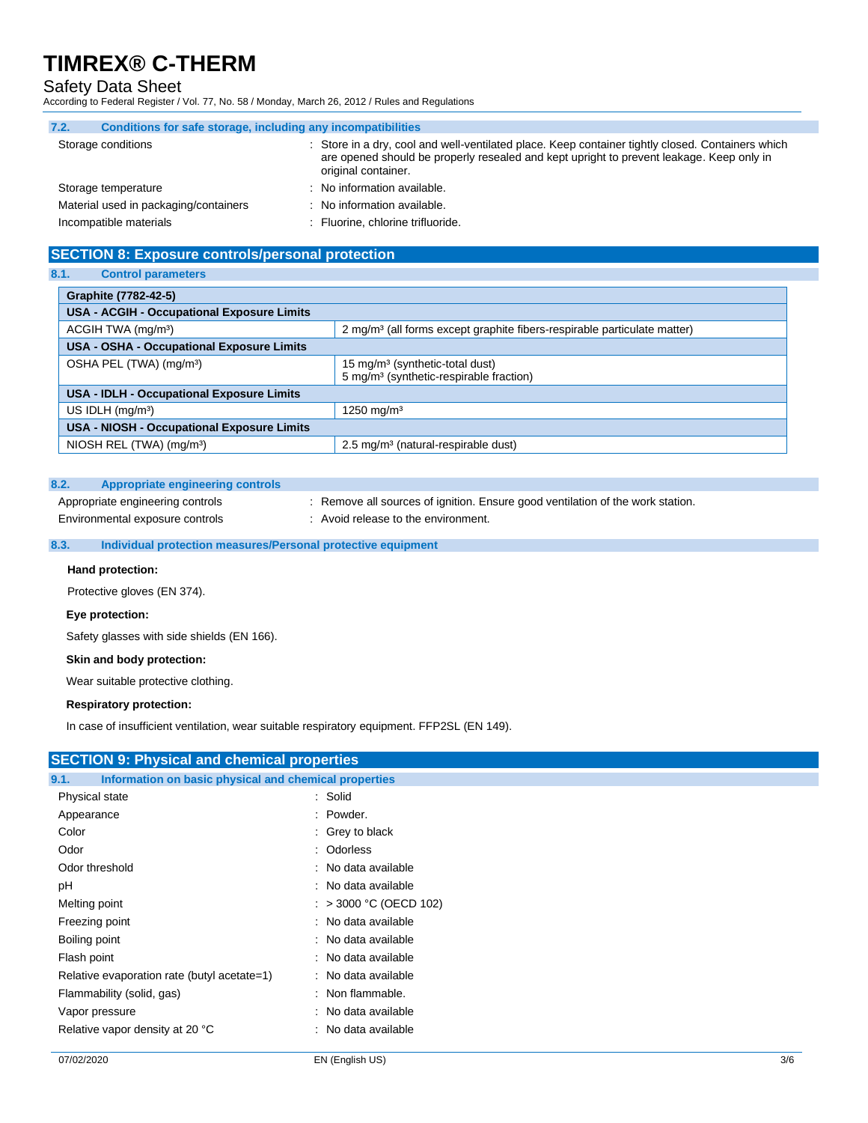### Safety Data Sheet

According to Federal Register / Vol. 77, No. 58 / Monday, March 26, 2012 / Rules and Regulations

| 7.2. | Conditions for safe storage, including any incompatibilities |  |                                                                                                                                                                                                                    |
|------|--------------------------------------------------------------|--|--------------------------------------------------------------------------------------------------------------------------------------------------------------------------------------------------------------------|
|      | Storage conditions                                           |  | Store in a dry, cool and well-ventilated place. Keep container tightly closed. Containers which<br>are opened should be properly resealed and kept upright to prevent leakage. Keep only in<br>original container. |
|      | Storage temperature                                          |  | : No information available.                                                                                                                                                                                        |
|      | Material used in packaging/containers                        |  | No information available.                                                                                                                                                                                          |
|      | Incompatible materials                                       |  | Fluorine, chlorine trifluoride.                                                                                                                                                                                    |

### **SECTION 8: Exposure controls/personal protection**

### **8.1. Control parameters**

| Graphite (7782-42-5)                              |                                                                                                    |  |
|---------------------------------------------------|----------------------------------------------------------------------------------------------------|--|
| <b>USA - ACGIH - Occupational Exposure Limits</b> |                                                                                                    |  |
| ACGIH TWA (mg/m <sup>3</sup> )                    | 2 mg/m <sup>3</sup> (all forms except graphite fibers-respirable particulate matter)               |  |
| USA - OSHA - Occupational Exposure Limits         |                                                                                                    |  |
| OSHA PEL (TWA) (mg/m <sup>3</sup> )               | 15 mg/m <sup>3</sup> (synthetic-total dust)<br>5 mg/m <sup>3</sup> (synthetic-respirable fraction) |  |
| <b>USA - IDLH - Occupational Exposure Limits</b>  |                                                                                                    |  |
| US IDLH $(mq/m3)$                                 | 1250 mg/m <sup>3</sup>                                                                             |  |
| <b>USA - NIOSH - Occupational Exposure Limits</b> |                                                                                                    |  |
| NIOSH REL $(TWA)$ (mg/m <sup>3</sup> )            | 2.5 mg/m <sup>3</sup> (natural-respirable dust)                                                    |  |

### **8.2. Appropriate engineering controls**

Appropriate engineering controls : Remove all sources of ignition. Ensure good ventilation of the work station.

Environmental exposure controls : Avoid release to the environment.

### **8.3. Individual protection measures/Personal protective equipment**

#### **Hand protection:**

Protective gloves (EN 374).

### **Eye protection:**

Safety glasses with side shields (EN 166).

### **Skin and body protection:**

Wear suitable protective clothing.

### **Respiratory protection:**

In case of insufficient ventilation, wear suitable respiratory equipment. FFP2SL (EN 149).

| <b>SECTION 9: Physical and chemical properties</b>            |                        |
|---------------------------------------------------------------|------------------------|
| Information on basic physical and chemical properties<br>9.1. |                        |
| Physical state                                                | : Solid                |
| Appearance                                                    | : Powder.              |
| Color                                                         | : Grey to black        |
| Odor                                                          | : Odorless             |
| Odor threshold                                                | : No data available    |
| рH                                                            | : No data available    |
| Melting point                                                 | : > 3000 °C (OECD 102) |
| Freezing point                                                | : No data available    |
| Boiling point                                                 | : No data available    |
| Flash point                                                   | : No data available    |
| Relative evaporation rate (butyl acetate=1)                   | : No data available    |
| Flammability (solid, gas)                                     | : Non flammable.       |
| Vapor pressure                                                | : No data available    |
| Relative vapor density at 20 °C                               | : No data available    |
|                                                               |                        |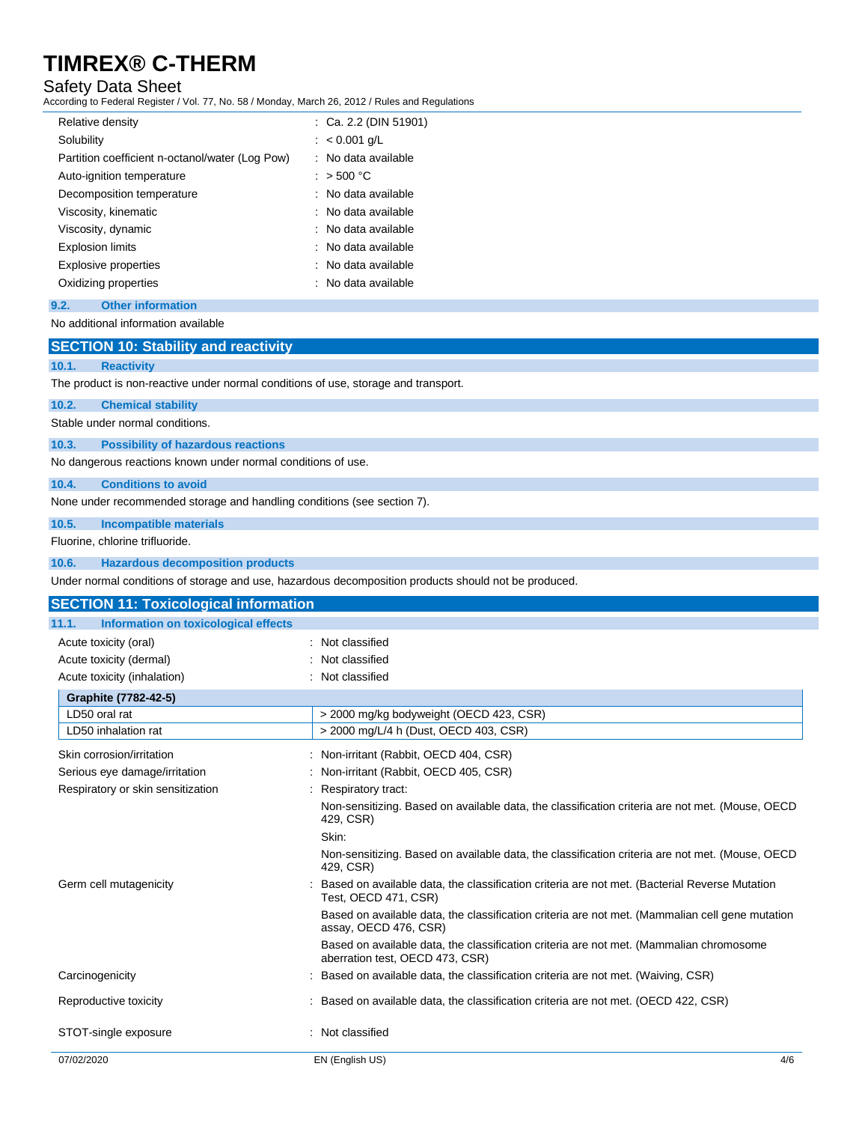### Safety Data Sheet

According to Federal Register / Vol. 77, No. 58 / Monday, March 26, 2012 / Rules and Regulations

| Relative density                                | $\therefore$ Ca. 2.2 (DIN 51901) |
|-------------------------------------------------|----------------------------------|
| Solubility                                      | : $< 0.001$ g/L                  |
| Partition coefficient n-octanol/water (Log Pow) | : No data available              |
| Auto-ignition temperature                       | $:$ > 500 °C                     |
| Decomposition temperature                       | : No data available              |
| Viscosity, kinematic                            | : No data available              |
| Viscosity, dynamic                              | : No data available              |
| <b>Explosion limits</b>                         | : No data available              |
| Explosive properties                            | : No data available              |
| Oxidizing properties                            | : No data available              |
| 9.2.<br><b>Other information</b>                |                                  |

### No additional information available

### **SECTION 10: Stability and reactivity**

### **10.1. Reactivity**

The product is non-reactive under normal conditions of use, storage and transport.

### **10.2. Chemical stability**

Stable under normal conditions.

## **10.3. Possibility of hazardous reactions**

No dangerous reactions known under normal conditions of use.

### **10.4. Conditions to avoid**

None under recommended storage and handling conditions (see section 7).

#### **10.5. Incompatible materials**

Fluorine, chlorine trifluoride.

### **10.6. Hazardous decomposition products**

Under normal conditions of storage and use, hazardous decomposition products should not be produced.

| <b>SECTION 11: Toxicological information</b>  |                                                                                                                            |     |
|-----------------------------------------------|----------------------------------------------------------------------------------------------------------------------------|-----|
| Information on toxicological effects<br>11.1. |                                                                                                                            |     |
| Acute toxicity (oral)                         | : Not classified                                                                                                           |     |
| Acute toxicity (dermal)                       | : Not classified                                                                                                           |     |
| Acute toxicity (inhalation)                   | : Not classified                                                                                                           |     |
| Graphite (7782-42-5)                          |                                                                                                                            |     |
| LD50 oral rat                                 | > 2000 mg/kg bodyweight (OECD 423, CSR)                                                                                    |     |
| LD50 inhalation rat                           | > 2000 mg/L/4 h (Dust, OECD 403, CSR)                                                                                      |     |
| Skin corrosion/irritation                     | : Non-irritant (Rabbit, OECD 404, CSR)                                                                                     |     |
| Serious eye damage/irritation                 | : Non-irritant (Rabbit, OECD 405, CSR)                                                                                     |     |
| Respiratory or skin sensitization             | Respiratory tract:                                                                                                         |     |
|                                               | Non-sensitizing. Based on available data, the classification criteria are not met. (Mouse, OECD<br>429, CSR)               |     |
|                                               | Skin:                                                                                                                      |     |
|                                               | Non-sensitizing. Based on available data, the classification criteria are not met. (Mouse, OECD<br>429, CSR)               |     |
| Germ cell mutagenicity                        | Based on available data, the classification criteria are not met. (Bacterial Reverse Mutation<br>Test, OECD 471, CSR)      |     |
|                                               | Based on available data, the classification criteria are not met. (Mammalian cell gene mutation<br>assay, OECD 476, CSR)   |     |
|                                               | Based on available data, the classification criteria are not met. (Mammalian chromosome<br>aberration test, OECD 473, CSR) |     |
| Carcinogenicity                               | : Based on available data, the classification criteria are not met. (Waiving, CSR)                                         |     |
| Reproductive toxicity                         | : Based on available data, the classification criteria are not met. (OECD 422, CSR)                                        |     |
| STOT-single exposure                          | : Not classified                                                                                                           |     |
| 07/02/2020                                    | EN (English US)                                                                                                            | 4/6 |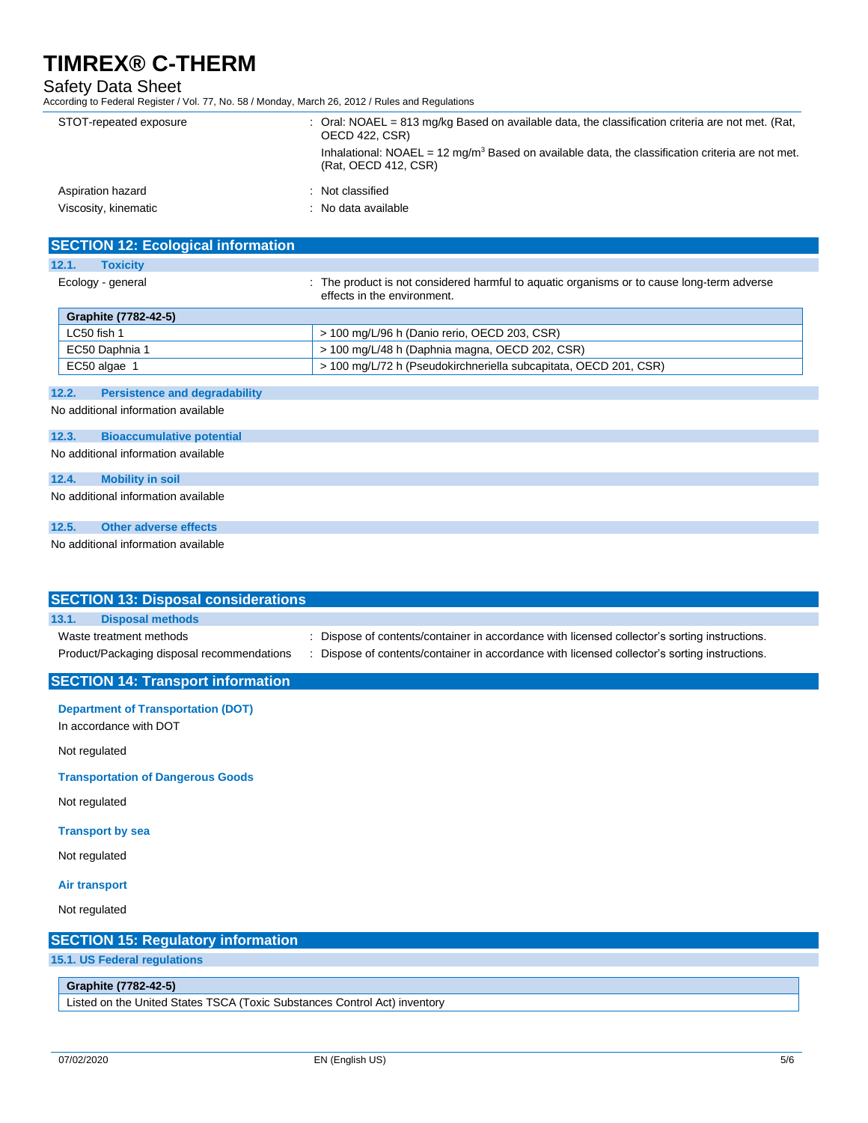### Safety Data Sheet

According to Federal Register / Vol. 77, No. 58 / Monday, March 26, 2012 / Rules and Regulations

| STOT-repeated exposure | : Oral: $NOAEL = 813$ mg/kg Based on available data, the classification criteria are not met. (Rat,<br><b>OECD 422, CSR)</b><br>Inhalational: $NOAEL = 12$ mg/m <sup>3</sup> Based on available data, the classification criteria are not met.<br>(Rat. OECD 412, CSR) |
|------------------------|------------------------------------------------------------------------------------------------------------------------------------------------------------------------------------------------------------------------------------------------------------------------|
| Aspiration hazard      | : Not classified                                                                                                                                                                                                                                                       |
| Viscosity, kinematic   | : No data available                                                                                                                                                                                                                                                    |

| <b>SECTION 12: Ecological information</b>     |                                                                                                                           |
|-----------------------------------------------|---------------------------------------------------------------------------------------------------------------------------|
| 12.1.<br><b>Toxicity</b>                      |                                                                                                                           |
| Ecology - general                             | : The product is not considered harmful to aguatic organisms or to cause long-term adverse<br>effects in the environment. |
| Graphite (7782-42-5)                          |                                                                                                                           |
| LC50 fish 1                                   | > 100 mg/L/96 h (Danio rerio, OECD 203, CSR)                                                                              |
| EC50 Daphnia 1                                | > 100 mg/L/48 h (Daphnia magna, OECD 202, CSR)                                                                            |
| EC50 algae 1                                  | > 100 mg/L/72 h (Pseudokirchneriella subcapitata, OECD 201, CSR)                                                          |
|                                               |                                                                                                                           |
| 12.2.<br><b>Persistence and degradability</b> |                                                                                                                           |
| No additional information available           |                                                                                                                           |

### **12.3. Bioaccumulative potential**

No additional information available

### **12.4. Mobility in soil**

No additional information available

### **12.5. Other adverse effects**

No additional information available

| <b>SECTION 13: Disposal considerations</b>                                |                                                                                             |  |
|---------------------------------------------------------------------------|---------------------------------------------------------------------------------------------|--|
| <b>Disposal methods</b><br>13.1.                                          |                                                                                             |  |
| Waste treatment methods                                                   | Dispose of contents/container in accordance with licensed collector's sorting instructions. |  |
| Product/Packaging disposal recommendations                                | Dispose of contents/container in accordance with licensed collector's sorting instructions. |  |
| <b>SECTION 14: Transport information</b>                                  |                                                                                             |  |
| <b>Department of Transportation (DOT)</b>                                 |                                                                                             |  |
| In accordance with DOT                                                    |                                                                                             |  |
| Not regulated                                                             |                                                                                             |  |
| <b>Transportation of Dangerous Goods</b>                                  |                                                                                             |  |
| Not regulated                                                             |                                                                                             |  |
| <b>Transport by sea</b>                                                   |                                                                                             |  |
| Not regulated                                                             |                                                                                             |  |
| <b>Air transport</b>                                                      |                                                                                             |  |
| Not regulated                                                             |                                                                                             |  |
| <b>SECTION 15: Regulatory information</b>                                 |                                                                                             |  |
| 15.1. US Federal regulations                                              |                                                                                             |  |
| Graphite (7782-42-5)                                                      |                                                                                             |  |
| Listed on the United States TSCA (Toxic Substances Control Act) inventory |                                                                                             |  |
|                                                                           |                                                                                             |  |